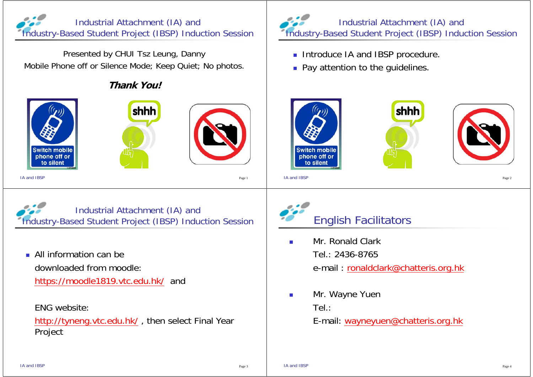

Presented by CHUI Tsz Leung, Danny Mobile Phone off or Silence Mode; Keep Quiet; No photos.

## **Thank You!**







IA and IBSPPage 1 and the contract of the contract of the contract of the contract of the contract of the contract of the contract of the contract of the contract of the contract of the contract of the contract of the contract of the

Industrial Attachment (IA) and Industry-Based Student Project (IBSP) Induction Session

 All information can be downloaded from moodle:https://moodle1819.vtc.edu.hk/ and

ENG website:

http://tyneng.vtc.edu.hk/ , then select Final Year Project



- **Introduce IA and IBSP procedure.**
- **Pay attention to the guidelines.**



IA and IBSPPage 2



- П Mr. Ronald Clark Tel.: 2436-8765 e-mail : ronaldclark@chatteris.org.hk
- $\mathcal{L}_{\mathcal{A}}$  Mr. Wayne Yuen Tel.:

E-mail: wayneyuen@chatteris.org.hk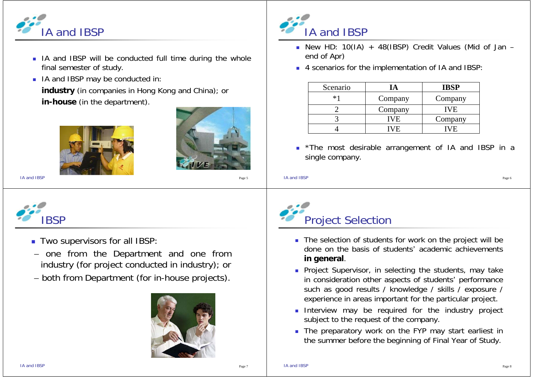

- **I IA and IBSP will be conducted full time during the whole** final semester of study.
- **IF IA and IBSP may be conducted in: industry** (in companies in Hong Kong and China); or **in-house** (in the department).





IA and IBSPPage 5



- **Two supervisors for all IBSP:**
- one from the Department and one from industry (for project conducted in industry); or
- both from Department (for in-house projects).





- New HD: 10(IA) <sup>+</sup> 48(IBSP) Credit Values (Mid of Jan end of Apr)
- 4 scenarios for the implementation of IA and IBSP:

| Scenario |         | <b>IBSP</b> |
|----------|---------|-------------|
| $*1$     | Company | Company     |
|          | Company | IVE.        |
|          | VF.     | Company     |
|          | V H.    | V H.        |

**The most desirable arrangement of IA and IBSP in a** single company.

```
IA and IBSPPage 6 and the state of the state of the state of the state of the state of the state of the state of the state of the state of the state of the state of the state of the state of the state of the state of the state of the
```


- The selection of students for work on the project will be done on the basis of students' academic achievements**in general**.
- **Project Supervisor, in selecting the students, may take** in consideration other aspects of students' performance such as good results / knowledge / skills / exposure / experience in areas important for the particular project.
- **Interview may be required for the industry project** subject to the request of the company.
- **The preparatory work on the FYP may start earliest in** the summer before the beginning of Final Year of Study.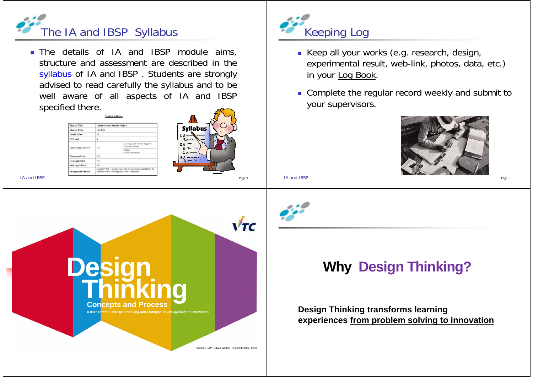

 The details of IA and IBSP module aims, structure and assessment are described in thesyllabus of IA and IBSP . Students are strongly advised to read carefully the syllabus and to be well aware of all aspects of IA and IBSP specified there.



IA and IBSP





- Keep all your works (e.g. research, design, experimental result, web-link, photos, data, etc.) in your Log Book.
- **Complete the regular record weekly and submit to** your supervisors.

**Design Thinking Why Design Thinking?**

**experiences from problem solving to innovation**

**Design Thinking transforms learning** 



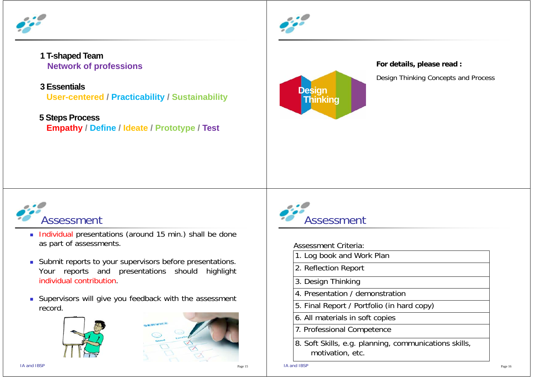

## **1 T-shaped Team Network of professions**

## **3 Essentials**

**User-centered / Practicability / Sustainability**

## **5 Steps Process**

**Empathy / Define / Ideate / Prototype / Test**





**For details, please read :** 

Design Thinking Concepts and Process



- Individual presentations (around 15 min.) shall be done as part of assessments.
- **Submit reports to your supervisors before presentations.** Your reports and presentations should highlight individual contribution.
- **Supervisors will give you feedback with the assessment** record.







Assessment Criteria:

- 1. Log book and Work Plan
- 2. Reflection Report
- 3. Design Thinking
- 4. Presentation / demonstration
- 5. Final Report / Portfolio (in hard copy)
- 6. All materials in soft copies
- 7. Professional Competence
- 8. Soft Skills, e.g. planning, communications skills, motivation, etc.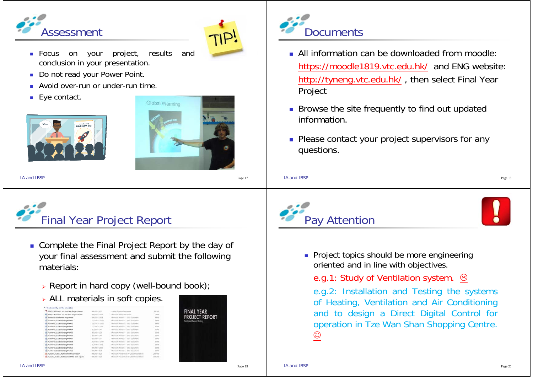



- Focus on your project, results and conclusion in your presentation.
- Do not read your Power Point.
- **Avoid over-run or under-run time.**
- Eye contact.





IA and IBSPPage 17



- **Complete the Final Project Report by the day of** your final assessment and submit the following materials:
	- Report in hard copy (well-bound book);
	- ALL materials in soft copies.

| . Files Currently on the Disc (16)                        |                 |                                            |                |
|-----------------------------------------------------------|-----------------|--------------------------------------------|----------------|
| "7. 71301F-4E Pun Ka Ho Final Year Project Report         | 9/6/2014 0:17   | Adobe Arreital Document                    | <b>HEL KIL</b> |
| <sup>2</sup> 71301F-4E Pun Ka Hio mid-term Project Report | R/6/2014 29:53  | Manusch Word Document                      | 19.08          |
| <b>Industrial Attachment Programme</b>                    | 6/6/2014 18:58  | Microsoft Word 97 - 2003 Document          | 43 838         |
| PunKaHo(111185060)LogWeek11                               | 16/3/2014 22:56 | Microsoft Word 97 - 2001 Document          | $34.8\%$       |
| PunKaHo(111185060)LogWeek02                               | 16/3/2014 21:00 | Marrowth Wood 97 - 2001 Document           | 34.631         |
| PunKaHo(111185060)LogWeek03                               | 17/3/2014 1:12  | Mamuch Word 97 - 2001 Document             | 25.635         |
| PunKaHo(111185060)LogWeek54                               | 8/5/2014 1:47   | Microsoft Word 97 - 2001 Document          | 12.832         |
| PunKaHo(111185060)LogiWeek55                              | 8/5/2014 1:26   | Microsoft Word 97 - 2003 Document          | 32.6%          |
| PunKaHo(1111E5060)LogWeek06                               | 8/5/2014 1:44   | Microsoft Word \$7 - 2003 Decument         | <b>DO</b>      |
| PunKaHo(111185060)LogWeek07                               | 8/5/2014 1:37   | Manualt Word 97 - 2003 Document            | 13.131         |
| PunKaHo(111185060)LogWeek08                               | 20/5/2014 17:44 | Microsoft Word 97 - 2003 Document          | 32.635         |
| PunKaHo(111185060)LogWeek09                               | 21/6/2014 2-01  | Microsoft Wood 97 - 2003 Document          | 12.439         |
| PunKaHo(111185060)LocWeek10                               | 8/6/2014 23:50  | Microsoft Word 97 - 2003 Document          | 32 435         |
| PunKaHo(111185060)LogWeek11                               | B/6/2014 0.2K   | Microsoft Word 37 - 2001 Document          | 33.436         |
| Punkaho 71301F, 4E Placement Final report                 | 9/6/2014 0:29   | Microsoft Reservation 97-2003 Presentation | 1,687,697      |
| Punkaho, 71301F.42 Placement Mid-farm report              | 9/6/2014 0:29   | Michael RowelPoint \$7-2003 Resentation    | 2381 KB        |





- All information can be downloaded from moodle: https://moodle1819.vtc.edu.hk/ and ENG website: http://tyneng.vtc.edu.hk/ , then select Final Year Project
- **Browse the site frequently to find out updated** information.
- **Please contact your project supervisors for any** questions.







**Project topics should be more engineering** oriented and in line with objectives.

e.g.1: Study of Ventilation system.  $\odot$ 

e.g.2: Installation and Testing the systems of Heating, Ventilation and Air Conditioning and to design <sup>a</sup> Direct Digital Control for operation in Tze Wan Shan Shopping Centre.  $\odot$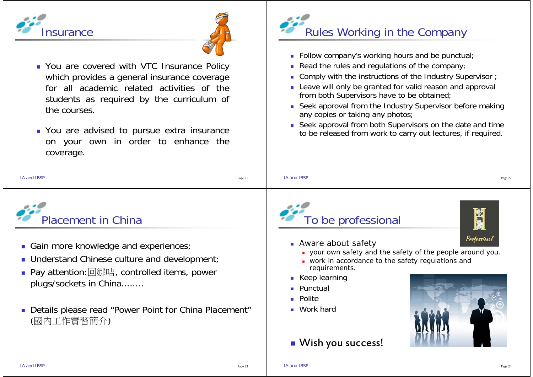



- You are covered with VTC Insurance Policy which provides a general insurance coverage for all academic related activities of thestudents as required by the curriculum of the courses.
- **Nou are advised to pursue extra insurance** on your own in order to enhance the coverage.



- **Follow company's working hours and be punctual;**
- **Read the rules and regulations of the company**;
- Comply with the instructions of the Industry Supervisor ;
- **Leave will only be granted for valid reason and approval** from both Supervisors have to be obtained;
- Seek approval from the Industry Supervisor before making any copies or taking any photos;
- Seek approval from both Supervisors on the date and time to be released from work to carry out lectures, if required.